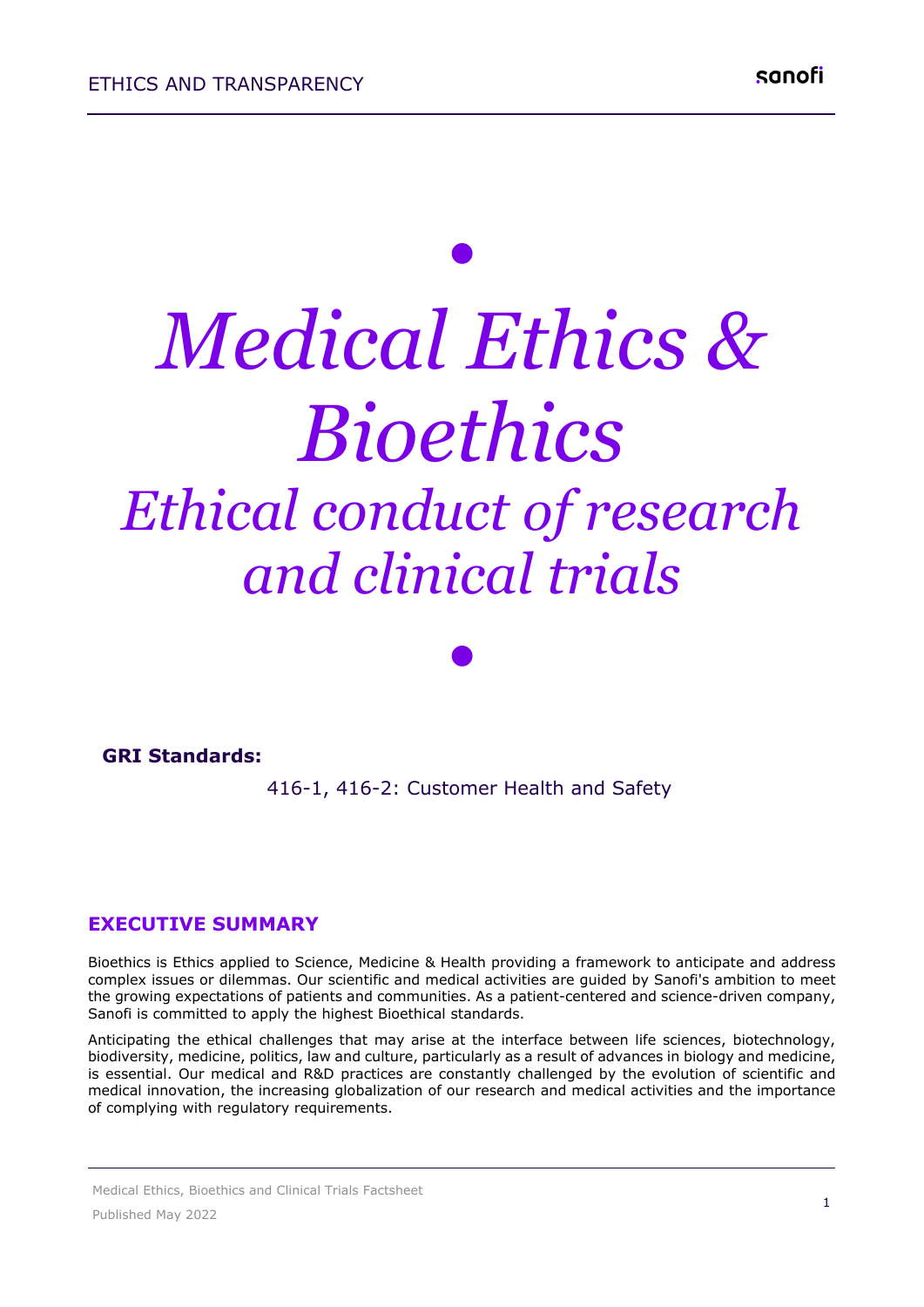# *• Medical Ethics & Bioethics Ethical conduct of research and clinical trials*

#### **GRI Standards:**

416-1, 416-2: Customer Health and Safety 

*•*

#### **EXECUTIVE SUMMARY**

Bioethics is Ethics applied to Science, Medicine & Health providing a framework to anticipate and address complex issues or dilemmas. Our scientific and medical activities are guided by Sanofi's ambition to meet the growing expectations of patients and communities. As a patient-centered and science-driven company, Sanofi is committed to apply the highest Bioethical standards.

Anticipating the ethical challenges that may arise at the interface between life sciences, biotechnology, biodiversity, medicine, politics, law and culture, particularly as a result of advances in biology and medicine, is essential. Our medical and R&D practices are constantly challenged by the evolution of scientific and medical innovation, the increasing globalization of our research and medical activities and the importance of complying with regulatory requirements.

Medical Ethics, Bioethics and Clinical Trials Factsheet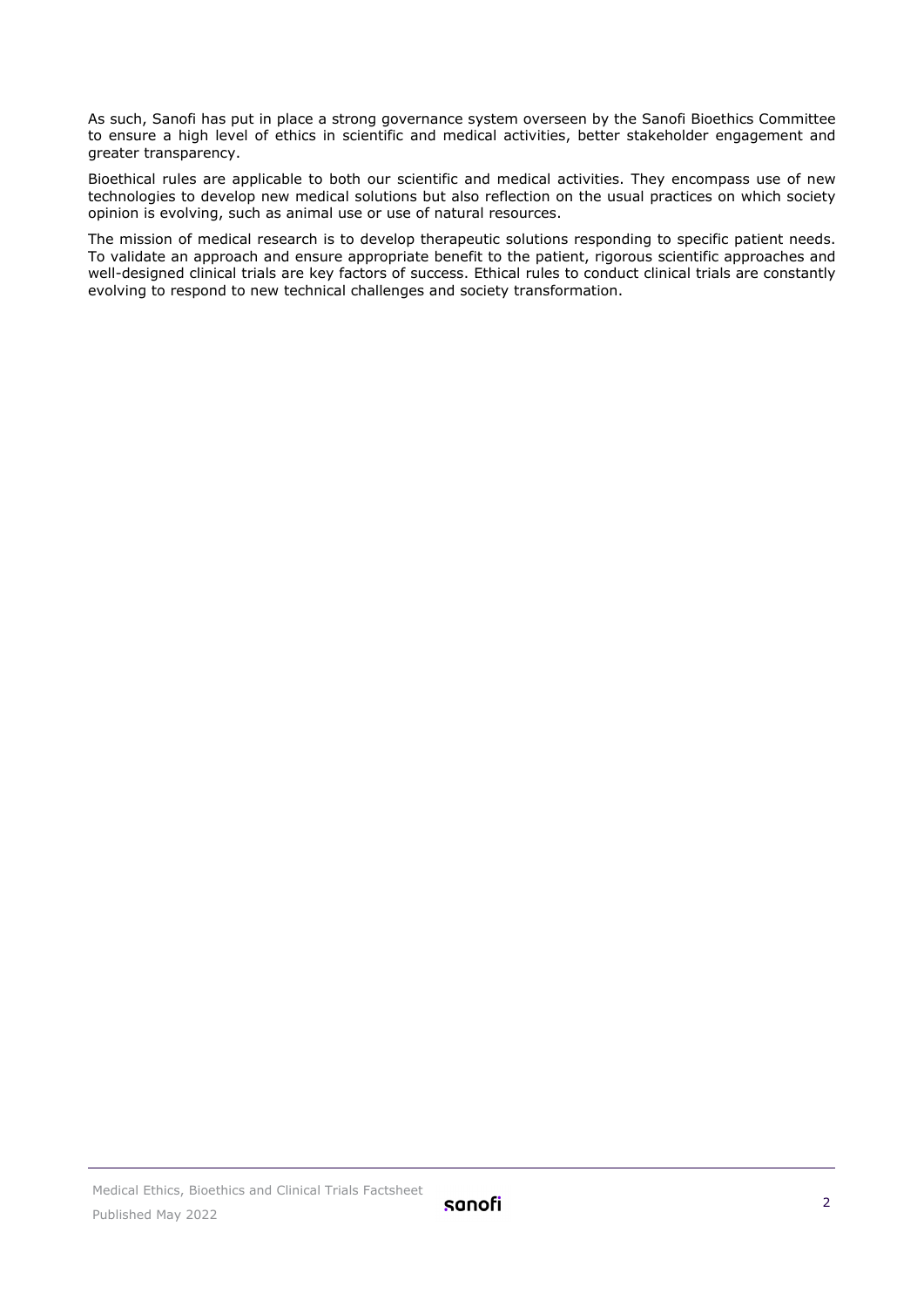As such, Sanofi has put in place a strong governance system overseen by the Sanofi Bioethics Committee to ensure a high level of ethics in scientific and medical activities, better stakeholder engagement and greater transparency.

Bioethical rules are applicable to both our scientific and medical activities. They encompass use of new technologies to develop new medical solutions but also reflection on the usual practices on which society opinion is evolving, such as animal use or use of natural resources.

The mission of medical research is to develop therapeutic solutions responding to specific patient needs. To validate an approach and ensure appropriate benefit to the patient, rigorous scientific approaches and well-designed clinical trials are key factors of success. Ethical rules to conduct clinical trials are constantly evolving to respond to new technical challenges and society transformation.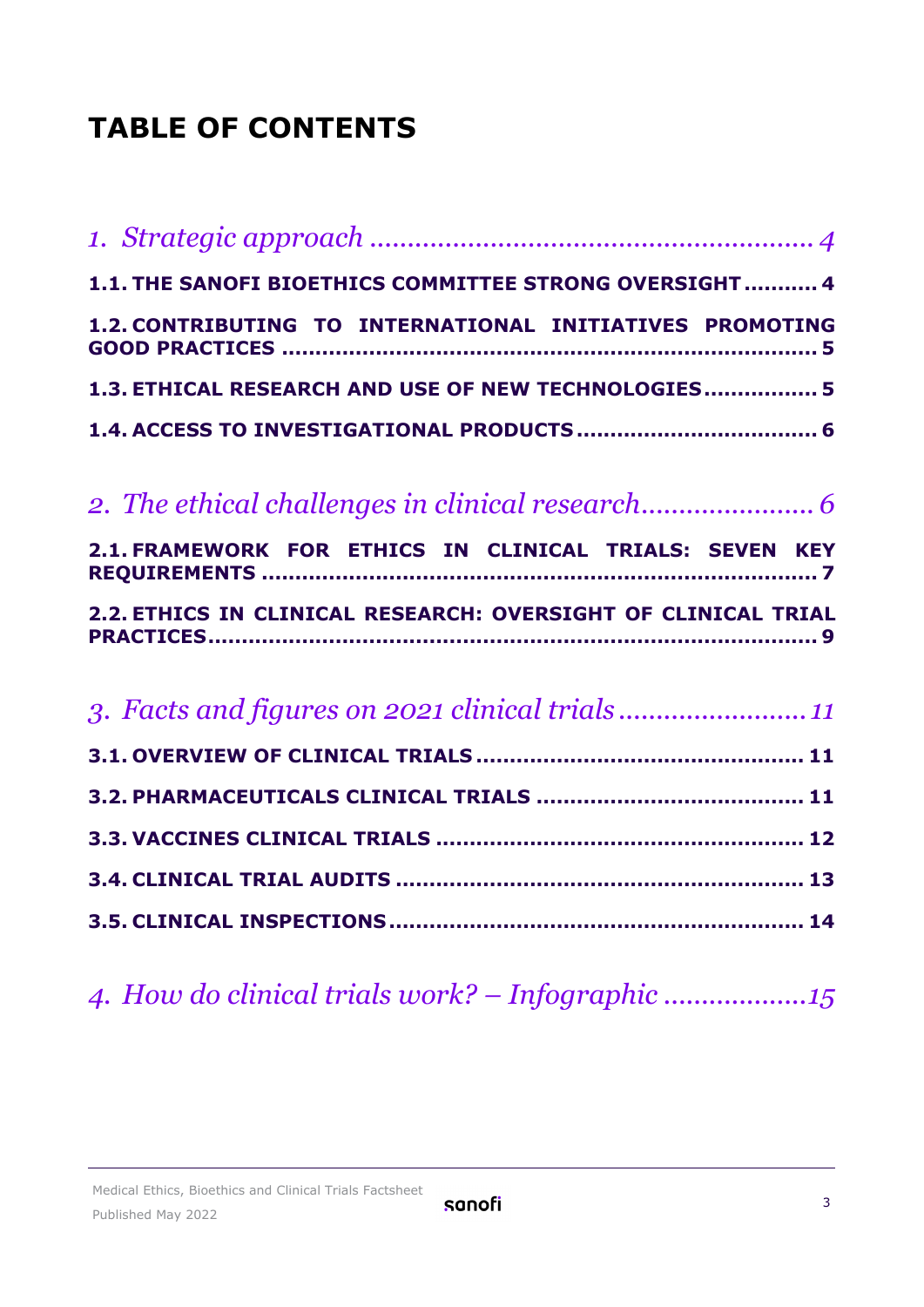# **TABLE OF CONTENTS**

| 1.1. THE SANOFI BIOETHICS COMMITTEE STRONG OVERSIGHT 4        |
|---------------------------------------------------------------|
| 1.2. CONTRIBUTING TO INTERNATIONAL INITIATIVES PROMOTING      |
| 1.3. ETHICAL RESEARCH AND USE OF NEW TECHNOLOGIES 5           |
|                                                               |
|                                                               |
| 2.1. FRAMEWORK FOR ETHICS IN CLINICAL TRIALS: SEVEN KEY       |
|                                                               |
| 2.2. ETHICS IN CLINICAL RESEARCH: OVERSIGHT OF CLINICAL TRIAL |
| 3. Facts and figures on 2021 clinical trials11                |
|                                                               |
|                                                               |
|                                                               |
|                                                               |

## *4. [How do clinical trials work? –](#page-14-0) Infographic ...................15*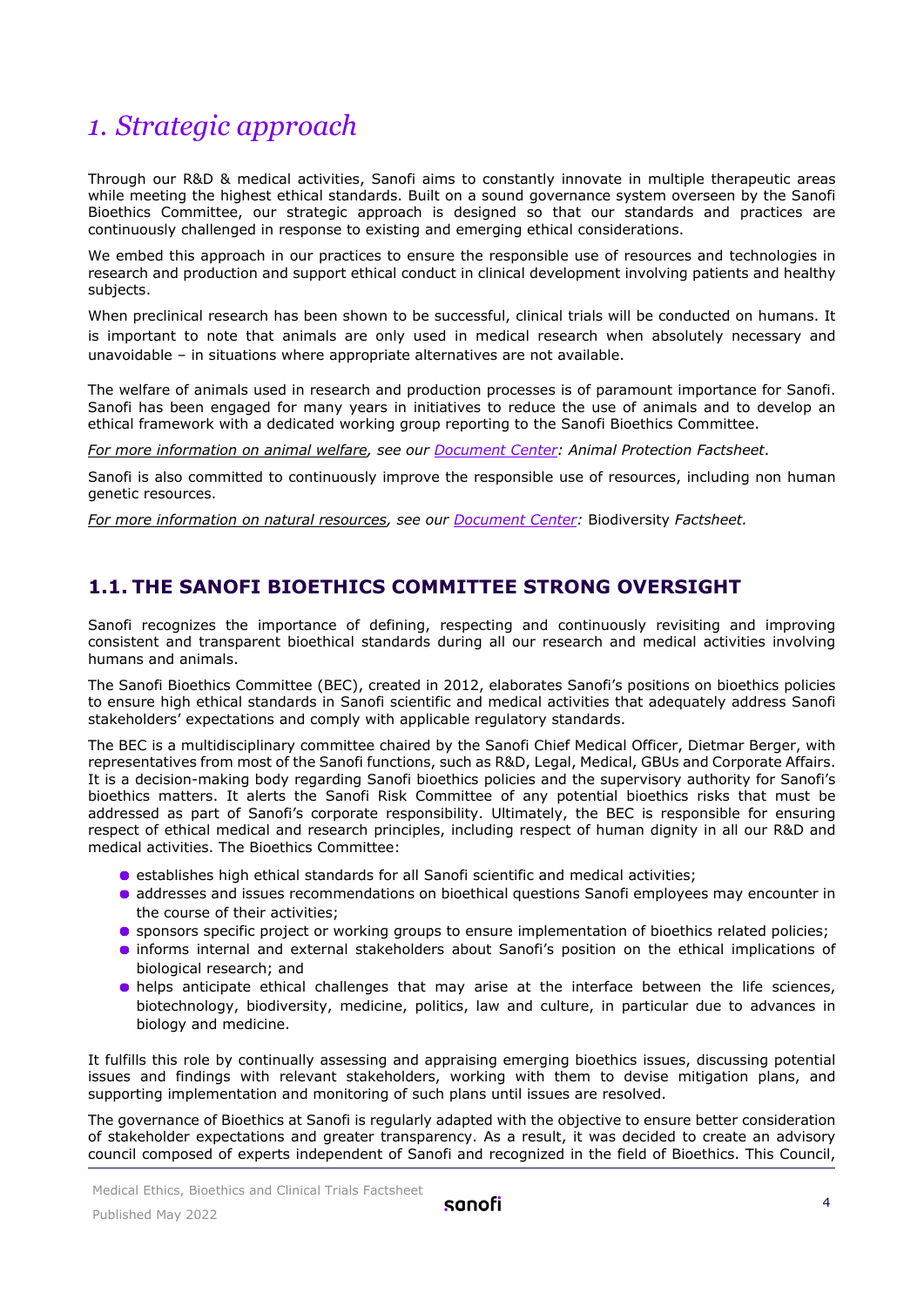## <span id="page-3-0"></span>*1. Strategic approach*

Through our R&D & medical activities, Sanofi aims to constantly innovate in multiple therapeutic areas while meeting the highest ethical standards. Built on a sound governance system overseen by the Sanofi Bioethics Committee, our strategic approach is designed so that our standards and practices are continuously challenged in response to existing and emerging ethical considerations.

We embed this approach in our practices to ensure the responsible use of resources and technologies in research and production and support ethical conduct in clinical development involving patients and healthy subjects.

When preclinical research has been shown to be successful, clinical trials will be conducted on humans. It is important to note that animals are only used in medical research when absolutely necessary and unavoidable – in situations where appropriate alternatives are not available.

The welfare of animals used in research and production processes is of paramount importance for Sanofi. Sanofi has been engaged for many years in initiatives to reduce the use of animals and to develop an ethical framework with a dedicated working group reporting to the Sanofi Bioethics Committee.

*For more information on animal welfare, see our [Document Center:](https://www.sanofi.com/en/our-responsibility/documents-center/) Animal Protection Factsheet*.

Sanofi is also committed to continuously improve the responsible use of resources, including non human genetic resources.

<span id="page-3-1"></span>*For more information on natural resources, see our [Document Center:](https://www.sanofi.com/en/our-responsibility/documents-center/)* Biodiversity *Factsheet.*

#### **1.1. THE SANOFI BIOETHICS COMMITTEE STRONG OVERSIGHT**

Sanofi recognizes the importance of defining, respecting and continuously revisiting and improving consistent and transparent bioethical standards during all our research and medical activities involving humans and animals.

The Sanofi Bioethics Committee (BEC), created in 2012, elaborates Sanofi's positions on bioethics policies to ensure high ethical standards in Sanofi scientific and medical activities that adequately address Sanofi stakeholders' expectations and comply with applicable regulatory standards.

The BEC is a multidisciplinary committee chaired by the Sanofi Chief Medical Officer, Dietmar Berger, with representatives from most of the Sanofi functions, such as R&D, Legal, Medical, GBUs and Corporate Affairs. It is a decision-making body regarding Sanofi bioethics policies and the supervisory authority for Sanofi's bioethics matters. It alerts the Sanofi Risk Committee of any potential bioethics risks that must be addressed as part of Sanofi's corporate responsibility. Ultimately, the BEC is responsible for ensuring respect of ethical medical and research principles, including respect of human dignity in all our R&D and medical activities. The Bioethics Committee:

- **•** establishes high ethical standards for all Sanofi scientific and medical activities;
- addresses and issues recommendations on bioethical questions Sanofi employees may encounter in the course of their activities;
- **•** sponsors specific project or working groups to ensure implementation of bioethics related policies;
- informs internal and external stakeholders about Sanofi's position on the ethical implications of biological research; and
- helps anticipate ethical challenges that may arise at the interface between the life sciences, biotechnology, biodiversity, medicine, politics, law and culture, in particular due to advances in biology and medicine.

It fulfills this role by continually assessing and appraising emerging bioethics issues, discussing potential issues and findings with relevant stakeholders, working with them to devise mitigation plans, and supporting implementation and monitoring of such plans until issues are resolved.

The governance of Bioethics at Sanofi is regularly adapted with the objective to ensure better consideration of stakeholder expectations and greater transparency. As a result, it was decided to create an advisory council composed of experts independent of Sanofi and recognized in the field of Bioethics. This Council,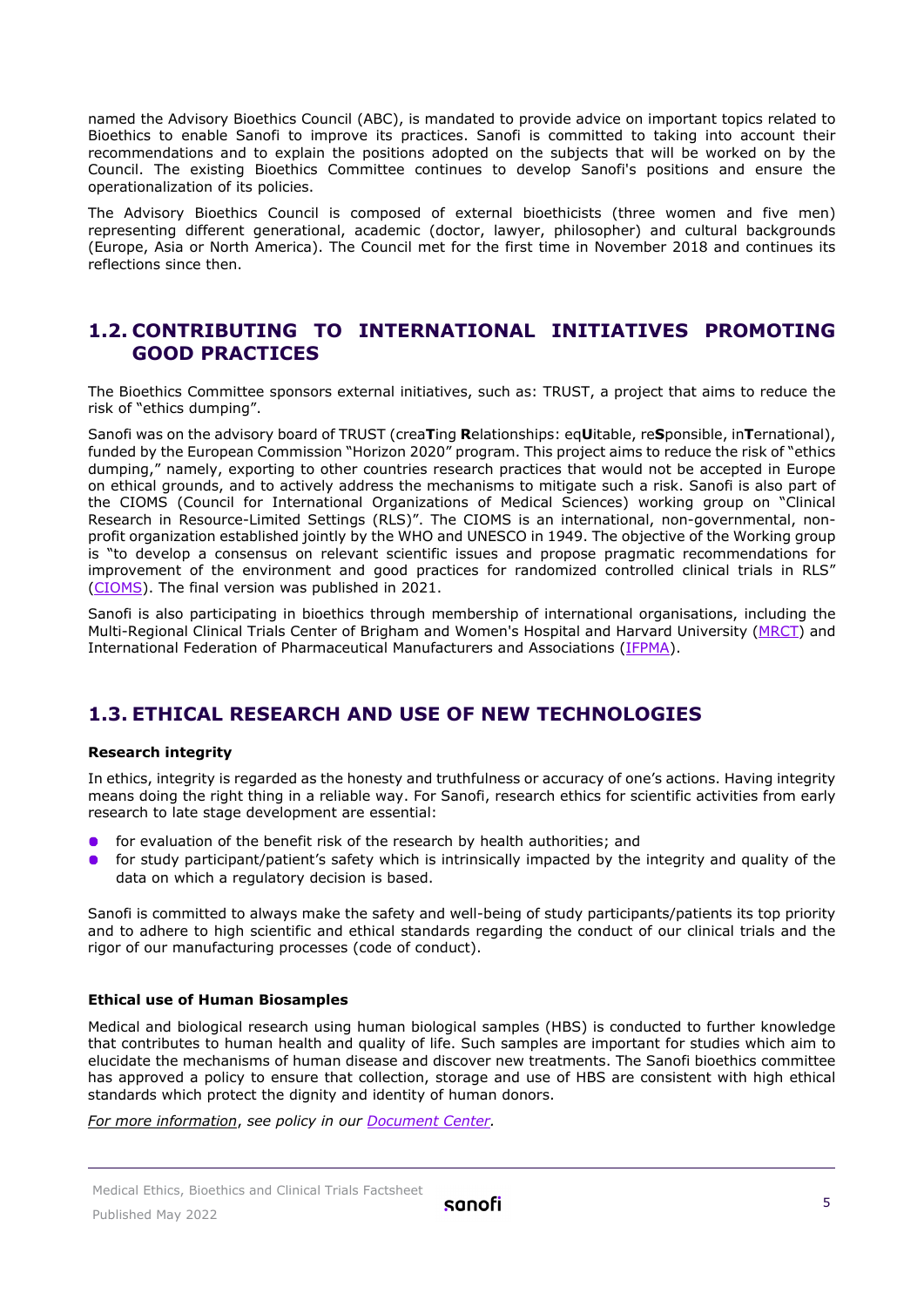named the Advisory Bioethics Council (ABC), is mandated to provide advice on important topics related to Bioethics to enable Sanofi to improve its practices. Sanofi is committed to taking into account their recommendations and to explain the positions adopted on the subjects that will be worked on by the Council. The existing Bioethics Committee continues to develop Sanofi's positions and ensure the operationalization of its policies.

The Advisory Bioethics Council is composed of external bioethicists (three women and five men) representing different generational, academic (doctor, lawyer, philosopher) and cultural backgrounds (Europe, Asia or North America). The Council met for the first time in November 2018 and continues its reflections since then.

#### <span id="page-4-0"></span>**1.2. CONTRIBUTING TO INTERNATIONAL INITIATIVES PROMOTING GOOD PRACTICES**

The Bioethics Committee sponsors external initiatives, such as: TRUST, a project that aims to reduce the risk of "ethics dumping".

Sanofi was on the advisory board of TRUST (crea**T**ing **R**elationships: eq**U**itable, re**S**ponsible, in**T**ernational), funded by the European Commission "Horizon 2020" program. This project aims to reduce the risk of "ethics dumping," namely, exporting to other countries research practices that would not be accepted in Europe on ethical grounds, and to actively address the mechanisms to mitigate such a risk. Sanofi is also part of the CIOMS (Council for International Organizations of Medical Sciences) working group on "Clinical Research in Resource-Limited Settings (RLS)". The CIOMS is an international, non-governmental, nonprofit organization established jointly by the WHO and UNESCO in 1949. The objective of the Working group is "to develop a consensus on relevant scientific issues and propose pragmatic recommendations for improvement of the environment and good practices for randomized controlled clinical trials in RLS" [\(CIOMS\)](https://cioms.ch/working_groups/clinical-research-rls/). The final version was published in 2021.

Sanofi is also participating in bioethics through membership of international organisations, including the Multi-Regional Clinical Trials Center of Brigham and Women's Hospital and Harvard University [\(MRCT\)](https://mrctcenter.org/focus-areas/ethics-conduct-oversight/) and International Federation of Pharmaceutical Manufacturers and Associations [\(IFPMA\)](https://www.ifpma.org/).

#### <span id="page-4-1"></span>**1.3. ETHICAL RESEARCH AND USE OF NEW TECHNOLOGIES**

#### **Research integrity**

In ethics, integrity is regarded as the honesty and truthfulness or accuracy of one's actions. Having integrity means doing the right thing in a reliable way. For Sanofi, research ethics for scientific activities from early research to late stage development are essential:

- **•** for evaluation of the benefit risk of the research by health authorities; and
- **•** for study participant/patient's safety which is intrinsically impacted by the integrity and quality of the data on which a regulatory decision is based.

Sanofi is committed to always make the safety and well-being of study participants/patients its top priority and to adhere to high scientific and ethical standards regarding the conduct of our clinical trials and the rigor of our manufacturing processes (code of conduct).

#### **Ethical use of Human Biosamples**

Medical and biological research using human biological samples (HBS) is conducted to further knowledge that contributes to human health and quality of life. Such samples are important for studies which aim to elucidate the mechanisms of human disease and discover new treatments. The Sanofi bioethics committee has approved a policy to ensure that collection, storage and use of HBS are consistent with high ethical standards which protect the dignity and identity of human donors.

*For more information*, *see policy in our [Document Center.](https://www.sanofi.com/en/our-responsibility/documents-center/)*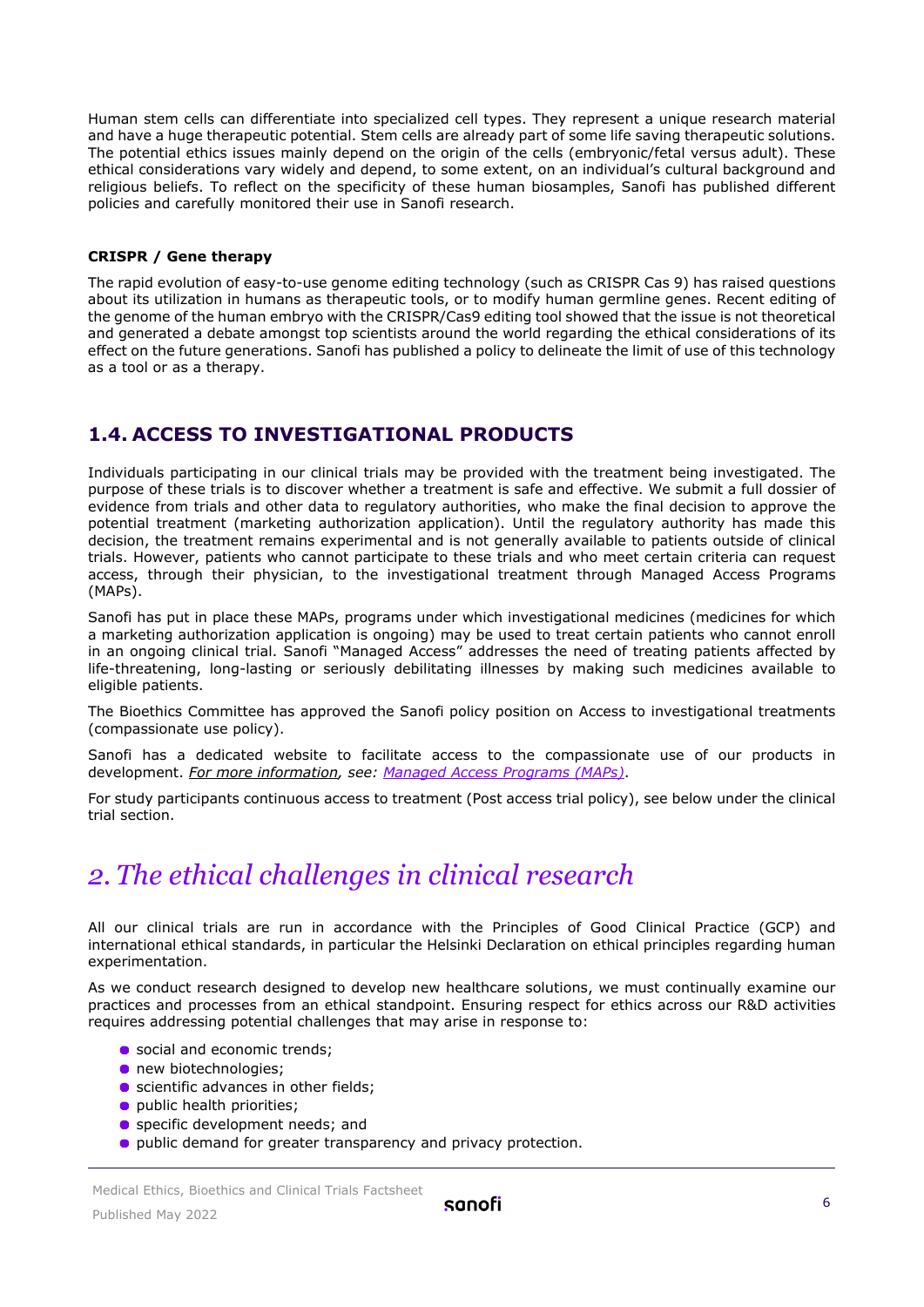Human stem cells can differentiate into specialized cell types. They represent a unique research material and have a huge therapeutic potential. Stem cells are already part of some life saving therapeutic solutions. The potential ethics issues mainly depend on the origin of the cells (embryonic/fetal versus adult). These ethical considerations vary widely and depend, to some extent, on an individual's cultural background and religious beliefs. To reflect on the specificity of these human biosamples, Sanofi has published different policies and carefully monitored their use in Sanofi research.

#### **CRISPR / Gene therapy**

The rapid evolution of easy-to-use genome editing technology (such as CRISPR Cas 9) has raised questions about its utilization in humans as therapeutic tools, or to modify human germline genes. Recent editing of the genome of the human embryo with the CRISPR/Cas9 editing tool showed that the issue is not theoretical and generated a debate amongst top scientists around the world regarding the ethical considerations of its effect on the future generations. Sanofi has published a policy to delineate the limit of use of this technology as a tool or as a therapy.

#### <span id="page-5-0"></span>**1.4. ACCESS TO INVESTIGATIONAL PRODUCTS**

Individuals participating in our clinical trials may be provided with the treatment being investigated. The purpose of these trials is to discover whether a treatment is safe and effective. We submit a full dossier of evidence from trials and other data to regulatory authorities, who make the final decision to approve the potential treatment (marketing authorization application). Until the regulatory authority has made this decision, the treatment remains experimental and is not generally available to patients outside of clinical trials. However, patients who cannot participate to these trials and who meet certain criteria can request access, through their physician, to the investigational treatment through Managed Access Programs (MAPs).

Sanofi has put in place these MAPs, programs under which investigational medicines (medicines for which a marketing authorization application is ongoing) may be used to treat certain patients who cannot enroll in an ongoing clinical trial. Sanofi "Managed Access" addresses the need of treating patients affected by life-threatening, long-lasting or seriously debilitating illnesses by making such medicines available to eligible patients.

The Bioethics Committee has approved the Sanofi policy position on Access to investigational treatments (compassionate use policy).

Sanofi has a dedicated website to facilitate access to the compassionate use of our products in development. *For more information, see: [Managed Access Programs \(MAPs\)](https://www.sanofi.com/en/science-and-innovation/clinical-trials-and-results/sanofi-manage-access-program)*.

For study participants continuous access to treatment (Post access trial policy), see below under the clinical trial section.

### <span id="page-5-1"></span>*2. The ethical challenges in clinical research*

All our clinical trials are run in accordance with the Principles of Good Clinical Practice (GCP) and international ethical standards, in particular the Helsinki Declaration on ethical principles regarding human experimentation.

As we conduct research designed to develop new healthcare solutions, we must continually examine our practices and processes from an ethical standpoint. Ensuring respect for ethics across our R&D activities requires addressing potential challenges that may arise in response to:

- social and economic trends:
- **•** new biotechnologies;
- **•** scientific advances in other fields;
- **•** public health priorities;
- **•** specific development needs; and
- **•** public demand for greater transparency and privacy protection.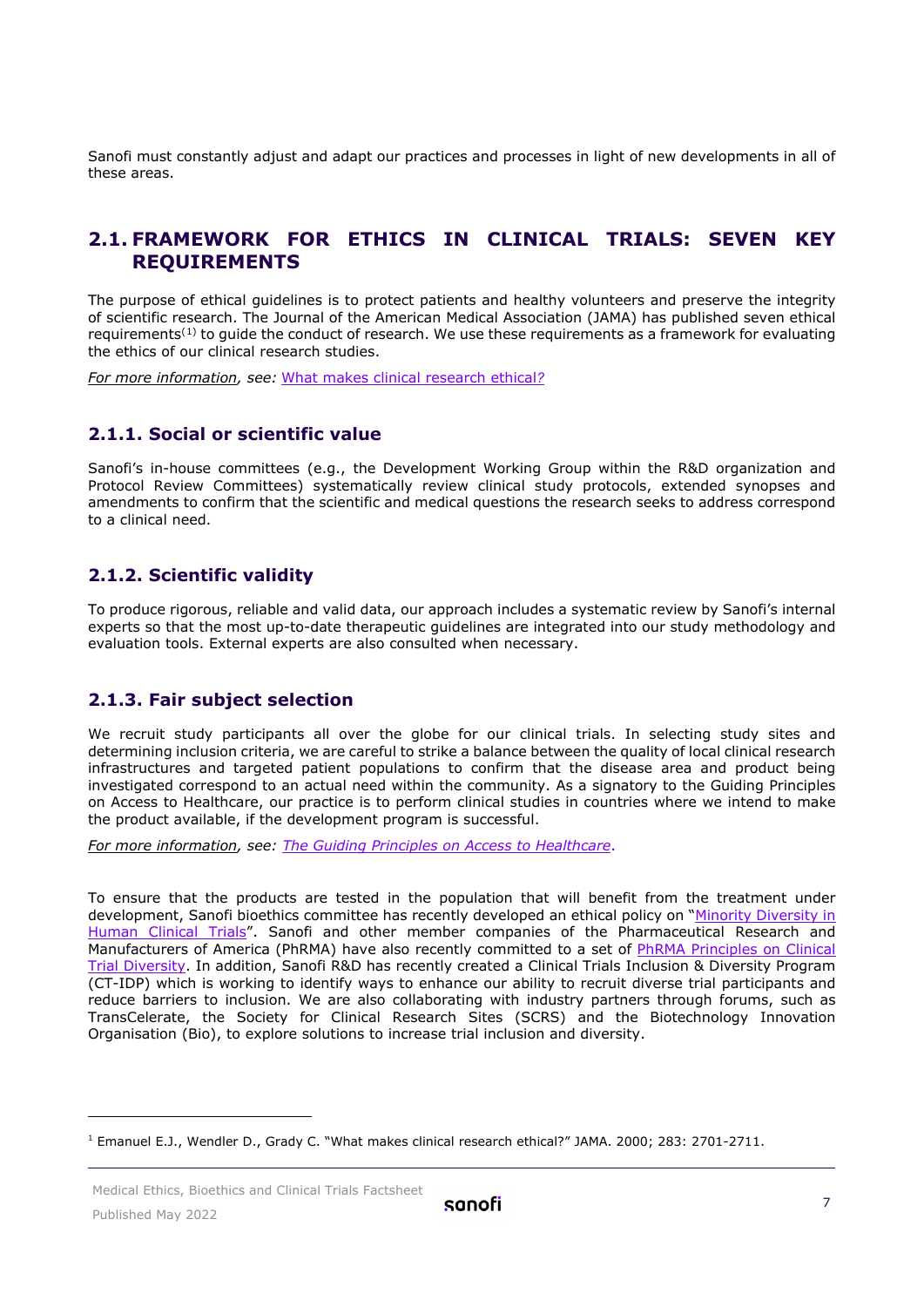Sanofi must constantly adjust and adapt our practices and processes in light of new developments in all of these areas.

#### <span id="page-6-0"></span>**2.1. FRAMEWORK FOR ETHICS IN CLINICAL TRIALS: SEVEN KEY REQUIREMENTS**

The purpose of ethical guidelines is to protect patients and healthy volunteers and preserve the integrity of scientific research. The Journal of the American Medical Association (JAMA) has published seven ethical requirements<sup>([1](#page-7-0))</sup> to quide the conduct of research. We use these requirements as a framework for evaluating the ethics of our clinical research studies.

*For more information, see:* [What makes clinical research ethical](http://jamanetwork.com/journals/jama/fullarticle/192740)*[?](http://jamanetwork.com/journals/jama/fullarticle/192740)*

#### **2.1.1. Social or scientific value**

Sanofi's in-house committees (e.g., the Development Working Group within the R&D organization and Protocol Review Committees) systematically review clinical study protocols, extended synopses and amendments to confirm that the scientific and medical questions the research seeks to address correspond to a clinical need.

#### **2.1.2. Scientific validity**

To produce rigorous, reliable and valid data, our approach includes a systematic review by Sanofi's internal experts so that the most up-to-date therapeutic guidelines are integrated into our study methodology and evaluation tools. External experts are also consulted when necessary.

#### **2.1.3. Fair subject selection**

We recruit study participants all over the globe for our clinical trials. In selecting study sites and determining inclusion criteria, we are careful to strike a balance between the quality of local clinical research infrastructures and targeted patient populations to confirm that the disease area and product being investigated correspond to an actual need within the community. As a signatory to the Guiding Principles on Access to Healthcare, our practice is to perform clinical studies in countries where we intend to make the product available, if the development program is successful.

*For more information, see: [The Guiding Principles on Access to Healthcare](http://gpah.bsr.org/en/principles)*.

To ensure that the products are tested in the population that will benefit from the treatment under development, Sanofi bioethics committee has recently developed an ethical policy on ["Minority Diversity in](https://www.sanofi.com/-/media/Project/One-Sanofi-Web/Websites/Global/Sanofi-COM/Home/common/docs/our-responsibility/documents-center/factsheets-pdf6-2020/Sanofis-Policy-Position-on-Minority-Diversity-in-Human-Clinical-Trials-EN.pdf?la=en)  [Human Clinical Trials"](https://www.sanofi.com/-/media/Project/One-Sanofi-Web/Websites/Global/Sanofi-COM/Home/common/docs/our-responsibility/documents-center/factsheets-pdf6-2020/Sanofis-Policy-Position-on-Minority-Diversity-in-Human-Clinical-Trials-EN.pdf?la=en). Sanofi and other member companies of the Pharmaceutical Research and Manufacturers of America (PhRMA) have also recently committed to a set of [PhRMA Principles on Clinical](https://phrma.org/Codes-and-guidelines/PhRMA-Principles-on-Conduct-of-Clinical-Trials)  [Trial Diversity.](https://phrma.org/Codes-and-guidelines/PhRMA-Principles-on-Conduct-of-Clinical-Trials) In addition, Sanofi R&D has recently created a Clinical Trials Inclusion & Diversity Program (CT-IDP) which is working to identify ways to enhance our ability to recruit diverse trial participants and reduce barriers to inclusion. We are also collaborating with industry partners through forums, such as TransCelerate, the Society for Clinical Research Sites (SCRS) and the Biotechnology Innovation Organisation (Bio), to explore solutions to increase trial inclusion and diversity.

<sup>1</sup> Emanuel E.J., Wendler D., Grady C. "What makes clinical research ethical?" JAMA. 2000; 283: 2701-2711.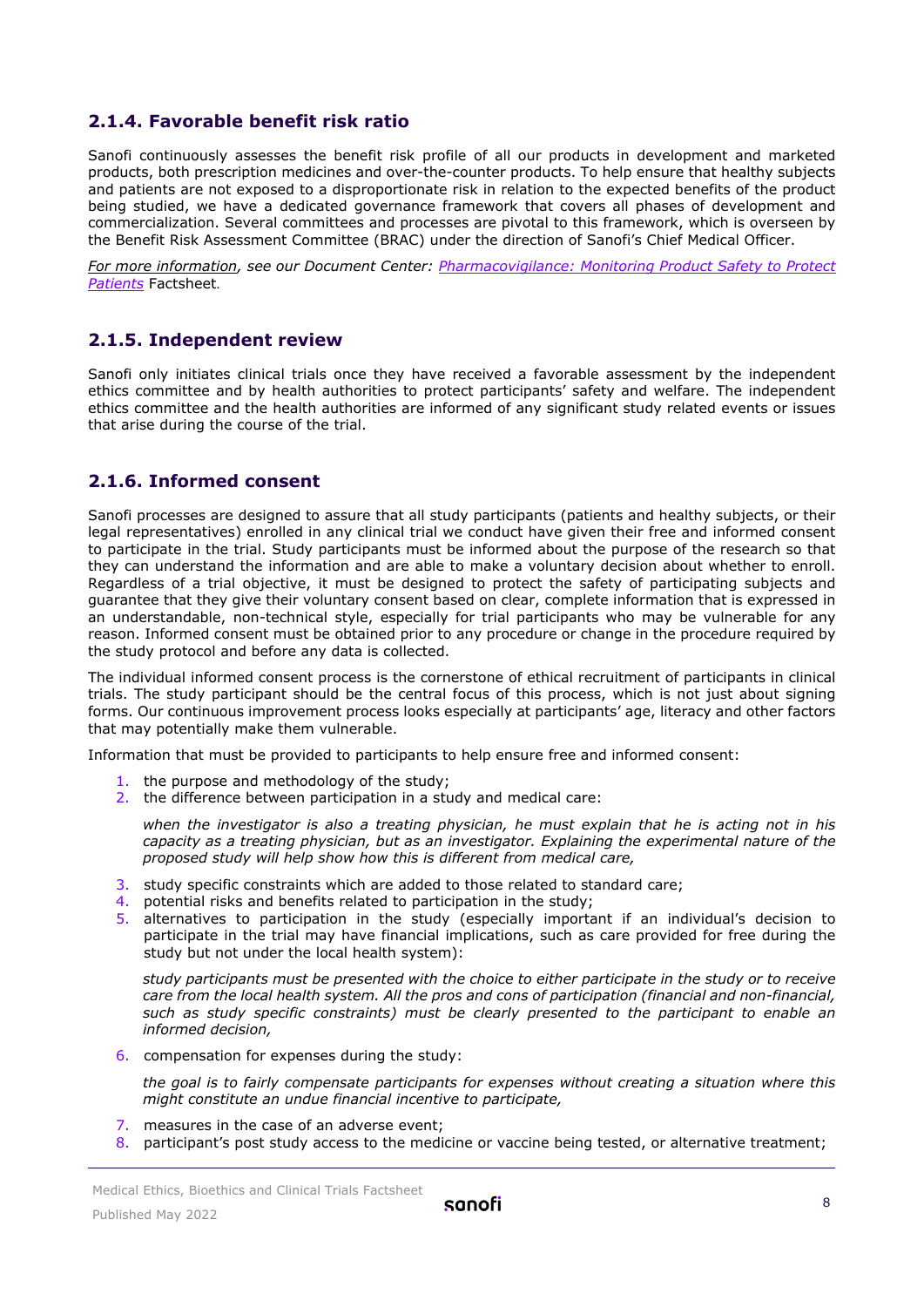#### **2.1.4. Favorable benefit risk ratio**

Sanofi continuously assesses the benefit risk profile of all our products in development and marketed products, both prescription medicines and over-the-counter products. To help ensure that healthy subjects and patients are not exposed to a disproportionate risk in relation to the expected benefits of the product being studied, we have a dedicated governance framework that covers all phases of development and commercialization. Several committees and processes are pivotal to this framework, which is overseen by the Benefit Risk Assessment Committee (BRAC) under the direction of Sanofi's Chief Medical Officer.

*For more information, see our Document Center: [Pharmacovigilance: Monitoring Product Safety to Protect](https://www.sanofi.com/-/media/Project/One-Sanofi-Web/Websites/Global/Sanofi-COM/Home/en/our-responsibility/docs/documents-center/factsheets/Pharmacovigilance.pdf?la=en)  [Patients](https://www.sanofi.com/-/media/Project/One-Sanofi-Web/Websites/Global/Sanofi-COM/Home/en/our-responsibility/docs/documents-center/factsheets/Pharmacovigilance.pdf?la=en)* Factsheet.

#### **2.1.5. Independent review**

Sanofi only initiates clinical trials once they have received a favorable assessment by the independent ethics committee and by health authorities to protect participants' safety and welfare. The independent ethics committee and the health authorities are informed of any significant study related events or issues that arise during the course of the trial.

#### **2.1.6. Informed consent**

Sanofi processes are designed to assure that all study participants (patients and healthy subjects, or their legal representatives) enrolled in any clinical trial we conduct have given their free and informed consent to participate in the trial. Study participants must be informed about the purpose of the research so that they can understand the information and are able to make a voluntary decision about whether to enroll. Regardless of a trial objective, it must be designed to protect the safety of participating subjects and guarantee that they give their voluntary consent based on clear, complete information that is expressed in an understandable, non-technical style, especially for trial participants who may be vulnerable for any reason. Informed consent must be obtained prior to any procedure or change in the procedure required by the study protocol and before any data is collected.

The individual informed consent process is the cornerstone of ethical recruitment of participants in clinical trials. The study participant should be the central focus of this process, which is not just about signing forms. Our continuous improvement process looks especially at participants' age, literacy and other factors that may potentially make them vulnerable.

Information that must be provided to participants to help ensure free and informed consent:

- 1. the purpose and methodology of the study;
- 2. the difference between participation in a study and medical care:

*when the investigator is also a treating physician, he must explain that he is acting not in his capacity as a treating physician, but as an investigator. Explaining the experimental nature of the proposed study will help show how this is different from medical care,*

- 3. study specific constraints which are added to those related to standard care;
- 4. potential risks and benefits related to participation in the study;
- 5. alternatives to participation in the study (especially important if an individual's decision to participate in the trial may have financial implications, such as care provided for free during the study but not under the local health system):

*study participants must be presented with the choice to either participate in the study or to receive care from the local health system. All the pros and cons of participation (financial and non-financial, such as study specific constraints) must be clearly presented to the participant to enable an informed decision,*

6. compensation for expenses during the study:

*the goal is to fairly compensate participants for expenses without creating a situation where this might constitute an undue financial incentive to participate,*

- 7. measures in the case of an adverse event;
- <span id="page-7-0"></span>8. participant's post study access to the medicine or vaccine being tested, or alternative treatment;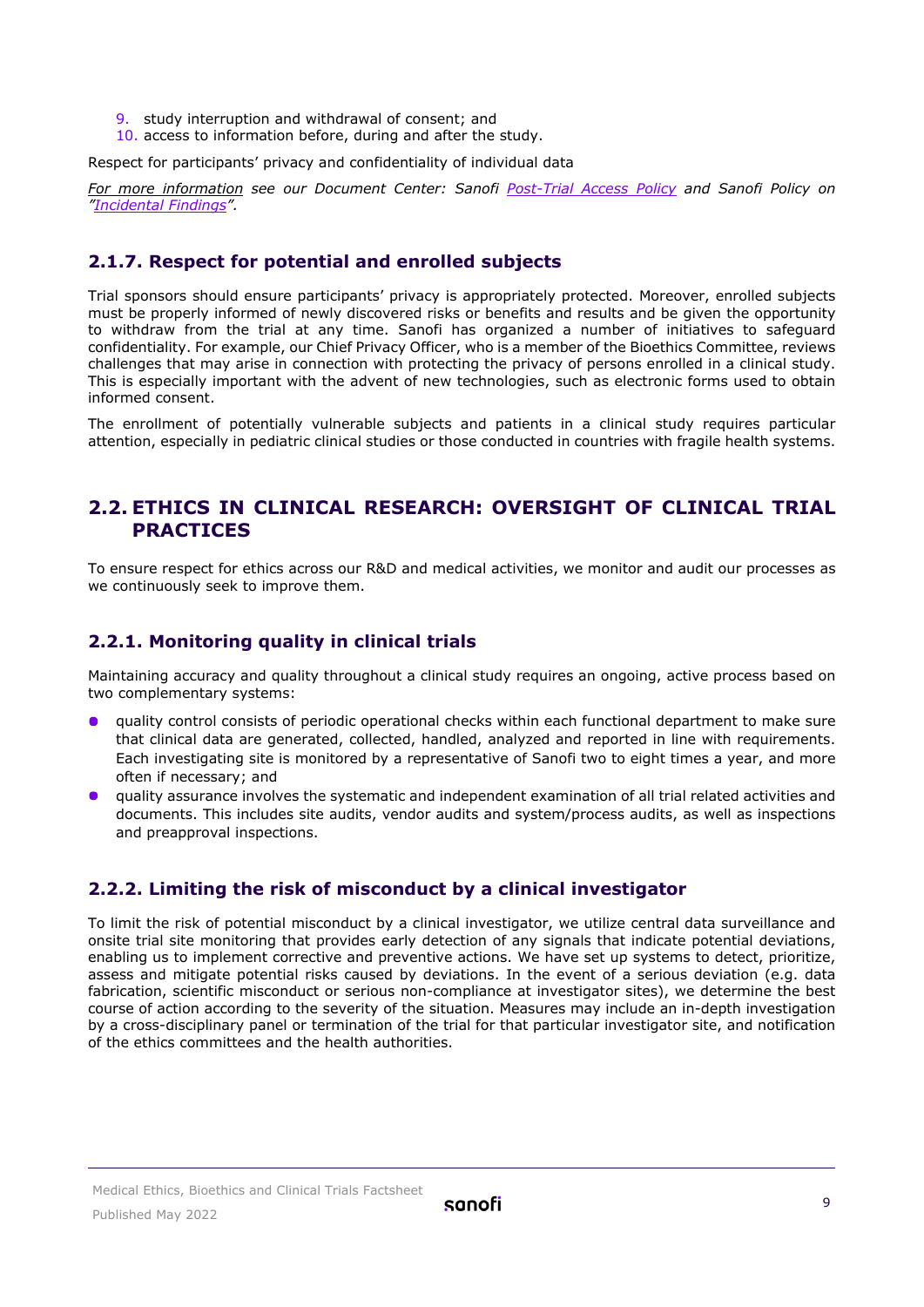- 9. study interruption and withdrawal of consent; and
- 10. access to information before, during and after the study.

Respect for participants' privacy and confidentiality of individual data

*For more information see our Document Center: Sanofi [Post-Trial Access Policy](https://www.sanofi.com/-/media/Project/One-Sanofi-Web/Websites/Global/Sanofi-COM/Home/common/docs/our-responsibility/documents-center/Document-center-new/2019_Post-Trial-Access-to-Investigational-Products-Policy.pdf?la=en) and Sanofi Policy on ["Incidental Findings"](https://www.sanofi.com/-/media/Project/One-Sanofi-Web/Websites/Global/Sanofi-COM/Home/common/docs/our-responsibility/documents-center/Document-center-new/2019_Incidental-Findings-Policy.pdf?la=en).*

#### **2.1.7. Respect for potential and enrolled subjects**

Trial sponsors should ensure participants' privacy is appropriately protected. Moreover, enrolled subjects must be properly informed of newly discovered risks or benefits and results and be given the opportunity to withdraw from the trial at any time. Sanofi has organized a number of initiatives to safeguard confidentiality. For example, our Chief Privacy Officer, who is a member of the Bioethics Committee, reviews challenges that may arise in connection with protecting the privacy of persons enrolled in a clinical study. This is especially important with the advent of new technologies, such as electronic forms used to obtain informed consent.

The enrollment of potentially vulnerable subjects and patients in a clinical study requires particular attention, especially in pediatric clinical studies or those conducted in countries with fragile health systems.

#### <span id="page-8-0"></span>**2.2. ETHICS IN CLINICAL RESEARCH: OVERSIGHT OF CLINICAL TRIAL PRACTICES**

To ensure respect for ethics across our R&D and medical activities, we monitor and audit our processes as we continuously seek to improve them.

#### **2.2.1. Monitoring quality in clinical trials**

Maintaining accuracy and quality throughout a clinical study requires an ongoing, active process based on two complementary systems:

- quality control consists of periodic operational checks within each functional department to make sure that clinical data are generated, collected, handled, analyzed and reported in line with requirements. Each investigating site is monitored by a representative of Sanofi two to eight times a year, and more often if necessary; and
- quality assurance involves the systematic and independent examination of all trial related activities and documents. This includes site audits, vendor audits and system/process audits, as well as inspections and preapproval inspections.

#### **2.2.2. Limiting the risk of misconduct by a clinical investigator**

To limit the risk of potential misconduct by a clinical investigator, we utilize central data surveillance and onsite trial site monitoring that provides early detection of any signals that indicate potential deviations, enabling us to implement corrective and preventive actions. We have set up systems to detect, prioritize, assess and mitigate potential risks caused by deviations. In the event of a serious deviation (e.g. data fabrication, scientific misconduct or serious non-compliance at investigator sites), we determine the best course of action according to the severity of the situation. Measures may include an in-depth investigation by a cross-disciplinary panel or termination of the trial for that particular investigator site, and notification of the ethics committees and the health authorities.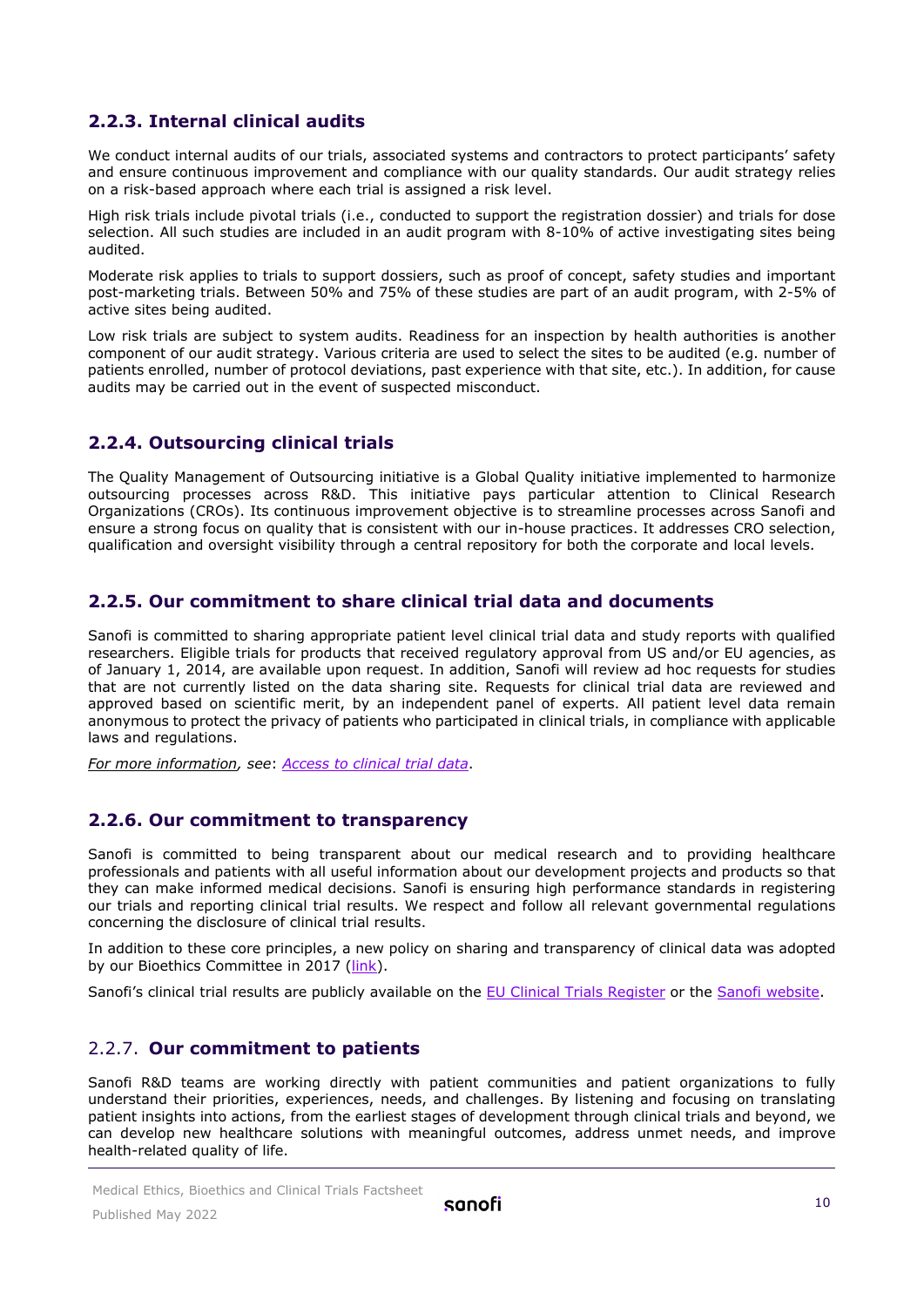#### **2.2.3. Internal clinical audits**

We conduct internal audits of our trials, associated systems and contractors to protect participants' safety and ensure continuous improvement and compliance with our quality standards. Our audit strategy relies on a risk-based approach where each trial is assigned a risk level.

High risk trials include pivotal trials (i.e., conducted to support the registration dossier) and trials for dose selection. All such studies are included in an audit program with 8-10% of active investigating sites being audited.

Moderate risk applies to trials to support dossiers, such as proof of concept, safety studies and important post-marketing trials. Between 50% and 75% of these studies are part of an audit program, with 2-5% of active sites being audited.

Low risk trials are subject to system audits. Readiness for an inspection by health authorities is another component of our audit strategy. Various criteria are used to select the sites to be audited (e.g. number of patients enrolled, number of protocol deviations, past experience with that site, etc.). In addition, for cause audits may be carried out in the event of suspected misconduct.

#### **2.2.4. Outsourcing clinical trials**

The Quality Management of Outsourcing initiative is a Global Quality initiative implemented to harmonize outsourcing processes across R&D. This initiative pays particular attention to Clinical Research Organizations (CROs). Its continuous improvement objective is to streamline processes across Sanofi and ensure a strong focus on quality that is consistent with our in-house practices. It addresses CRO selection, qualification and oversight visibility through a central repository for both the corporate and local levels.

#### **2.2.5. Our commitment to share clinical trial data and documents**

Sanofi is committed to sharing appropriate patient level clinical trial data and study reports with qualified researchers. Eligible trials for products that received regulatory approval from US and/or EU agencies, as of January 1, 2014, are available upon request. In addition, Sanofi will review ad hoc requests for studies that are not currently listed on the data sharing site. Requests for clinical trial data are reviewed and approved based on scientific merit, by an independent panel of experts. All patient level data remain anonymous to protect the privacy of patients who participated in clinical trials, in compliance with applicable laws and regulations.

*For more information, see*: *[Access to clinical trial data](https://www.sanofi.com/en/science-and-innovation/clinical-trials-and-results/our-data-sharing-commitments)*.

#### **2.2.6. Our commitment to transparency**

Sanofi is committed to being transparent about our medical research and to providing healthcare professionals and patients with all useful information about our development projects and products so that they can make informed medical decisions. Sanofi is ensuring high performance standards in registering our trials and reporting clinical trial results. We respect and follow all relevant governmental regulations concerning the disclosure of clinical trial results.

In addition to these core principles, a new policy on sharing and transparency of clinical data was adopted by our Bioethics Committee in 2017 [\(link\)](https://www.sanofi.com/-/media/Project/One-Sanofi-Web/Websites/Global/Sanofi-COM/Home/common/docs/our-responsibility/documents-center/Document-center-new/2019_Clinical-Trial-Data-Sharing-Policy.pdf?la=en*).

Sanofi's clinical trial results are publicly available on the [EU Clinical Trials Register](https://www.clinicaltrialsregister.eu/) or the [Sanofi website.](https://www.sanofi.com/en/science-and-innovation/clinical-trials-and-results/our-disclosure-commitments)

#### 2.2.7. **Our commitment to patients**

Sanofi R&D teams are working directly with patient communities and patient organizations to fully understand their priorities, experiences, needs, and challenges. By listening and focusing on translating patient insights into actions, from the earliest stages of development through clinical trials and beyond, we can develop new healthcare solutions with meaningful outcomes, address unmet needs, and improve health-related quality of life.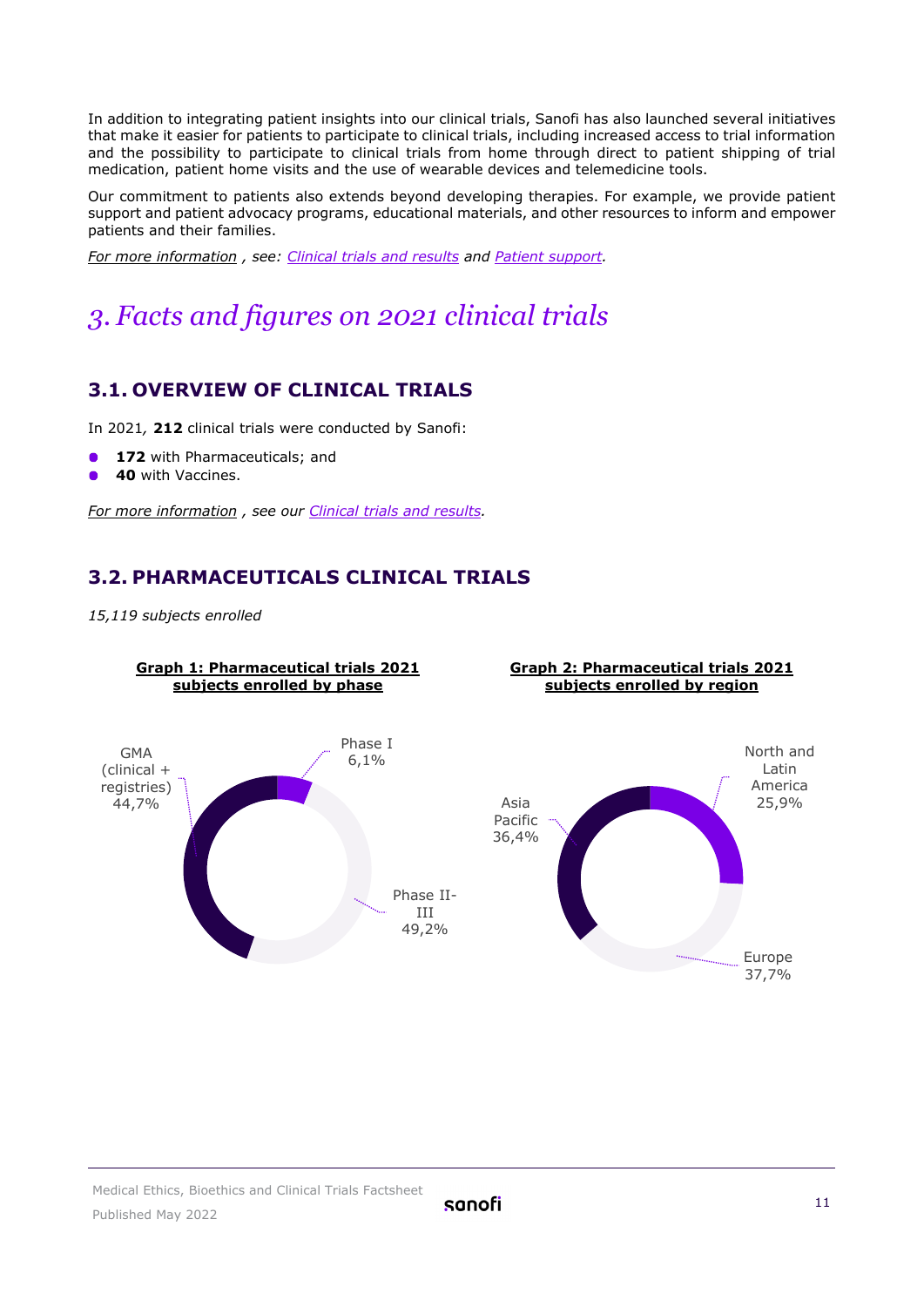In addition to integrating patient insights into our clinical trials, Sanofi has also launched several initiatives that make it easier for patients to participate to clinical trials, including increased access to trial information and the possibility to participate to clinical trials from home through direct to patient shipping of trial medication, patient home visits and the use of wearable devices and telemedicine tools.

Our commitment to patients also extends beyond developing therapies. For example, we provide patient support and patient advocacy programs, educational materials, and other resources to inform and empower patients and their families.

*For more information , see: [Clinical trials and results](https://www.sanofi.com/en/science-and-innovation/clinical-trials-and-results) and [Patient support.](https://www.sanofigenzyme.com/en/patient-support)*

## <span id="page-10-0"></span>*3. Facts and figures on 2021 clinical trials*

#### <span id="page-10-1"></span>**3.1. OVERVIEW OF CLINICAL TRIALS**

In 2021*,* **212** clinical trials were conducted by Sanofi:

- 172 with Pharmaceuticals; and
- **40** with Vaccines.

<span id="page-10-2"></span>*For more information , see our [Clinical trials and results.](https://www.sanofi.com/en/science-and-innovation/clinical-trials-and-results)*

#### **3.2. PHARMACEUTICALS CLINICAL TRIALS**

*15,119 subjects enrolled*

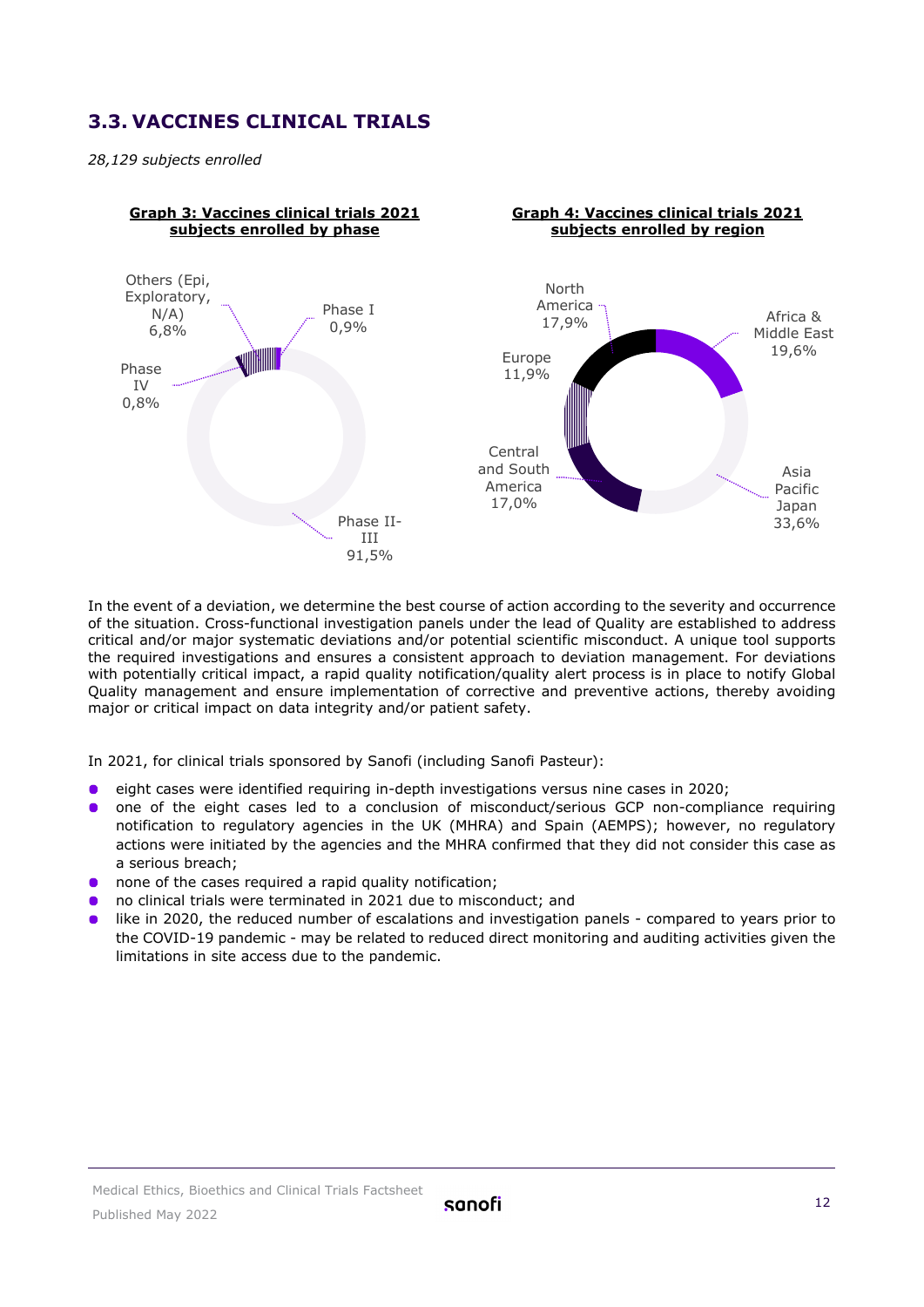#### <span id="page-11-0"></span>**3.3. VACCINES CLINICAL TRIALS**

*28,129 subjects enrolled*



In the event of a deviation, we determine the best course of action according to the severity and occurrence of the situation. Cross-functional investigation panels under the lead of Quality are established to address critical and/or major systematic deviations and/or potential scientific misconduct. A unique tool supports the required investigations and ensures a consistent approach to deviation management. For deviations with potentially critical impact, a rapid quality notification/quality alert process is in place to notify Global Quality management and ensure implementation of corrective and preventive actions, thereby avoiding major or critical impact on data integrity and/or patient safety.

In 2021, for clinical trials sponsored by Sanofi (including Sanofi Pasteur):

- eight cases were identified requiring in-depth investigations versus nine cases in 2020;
- **.** one of the eight cases led to a conclusion of misconduct/serious GCP non-compliance requiring notification to regulatory agencies in the UK (MHRA) and Spain (AEMPS); however, no regulatory actions were initiated by the agencies and the MHRA confirmed that they did not consider this case as a serious breach;
- **o** none of the cases required a rapid quality notification;
- no clinical trials were terminated in 2021 due to misconduct; and
- like in 2020, the reduced number of escalations and investigation panels compared to years prior to the COVID-19 pandemic - may be related to reduced direct monitoring and auditing activities given the limitations in site access due to the pandemic.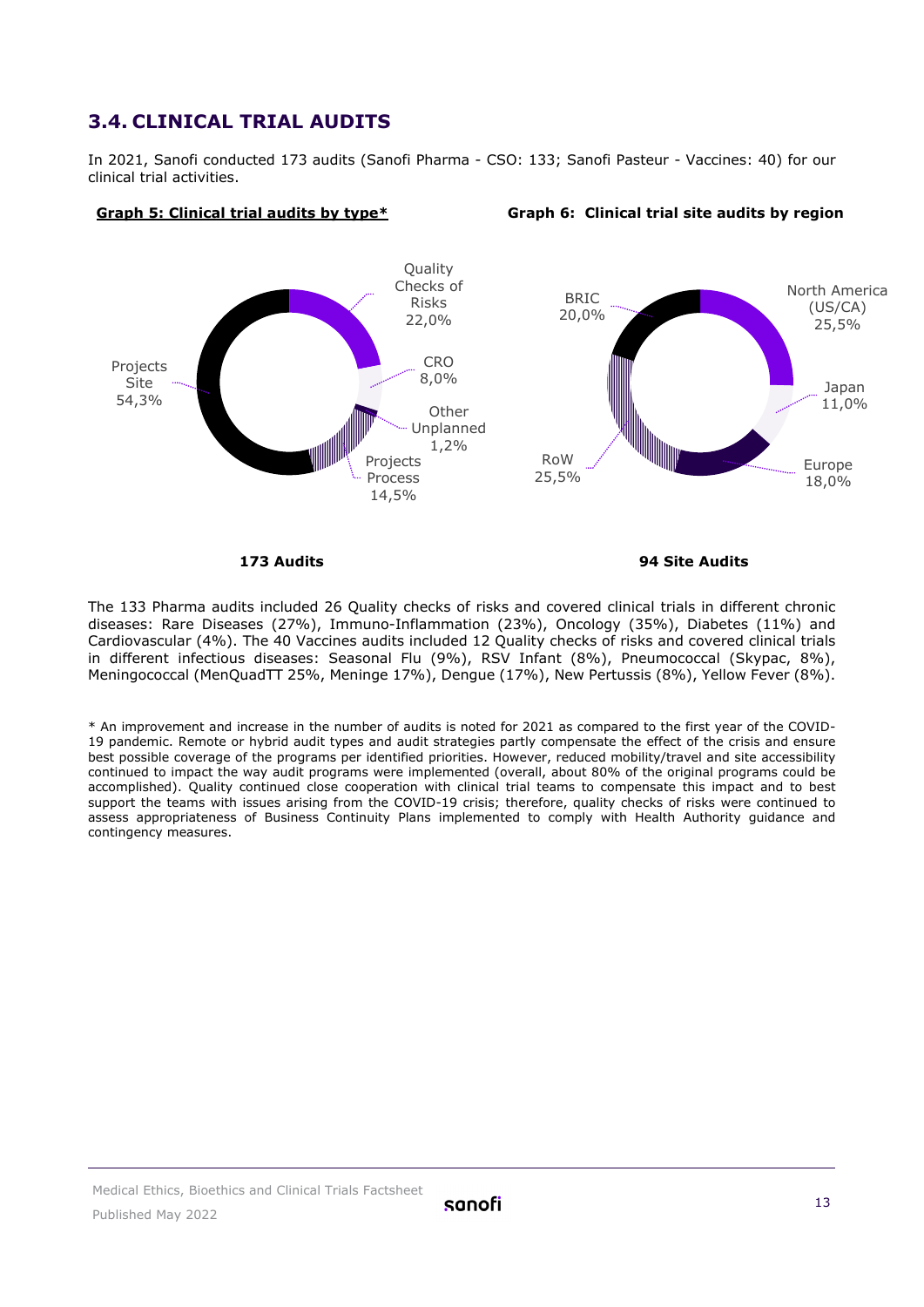#### <span id="page-12-0"></span>**3.4. CLINICAL TRIAL AUDITS**

In 2021, Sanofi conducted 173 audits (Sanofi Pharma - CSO: 133; Sanofi Pasteur - Vaccines: 40) for our clinical trial activities.

**Graph 5: Clinical trial audits by type\* Graph 6: Clinical trial site audits by region**



 **173 Audits 94 Site Audits**

The 133 Pharma audits included 26 Quality checks of risks and covered clinical trials in different chronic diseases: Rare Diseases (27%), Immuno-Inflammation (23%), Oncology (35%), Diabetes (11%) and Cardiovascular (4%). The 40 Vaccines audits included 12 Quality checks of risks and covered clinical trials in different infectious diseases: Seasonal Flu (9%), RSV Infant (8%), Pneumococcal (Skypac, 8%), Meningococcal (MenQuadTT 25%, Meninge 17%), Dengue (17%), New Pertussis (8%), Yellow Fever (8%).

\* An improvement and increase in the number of audits is noted for 2021 as compared to the first year of the COVID-19 pandemic. Remote or hybrid audit types and audit strategies partly compensate the effect of the crisis and ensure best possible coverage of the programs per identified priorities. However, reduced mobility/travel and site accessibility continued to impact the way audit programs were implemented (overall, about 80% of the original programs could be accomplished). Quality continued close cooperation with clinical trial teams to compensate this impact and to best support the teams with issues arising from the COVID-19 crisis; therefore, quality checks of risks were continued to assess appropriateness of Business Continuity Plans implemented to comply with Health Authority guidance and contingency measures.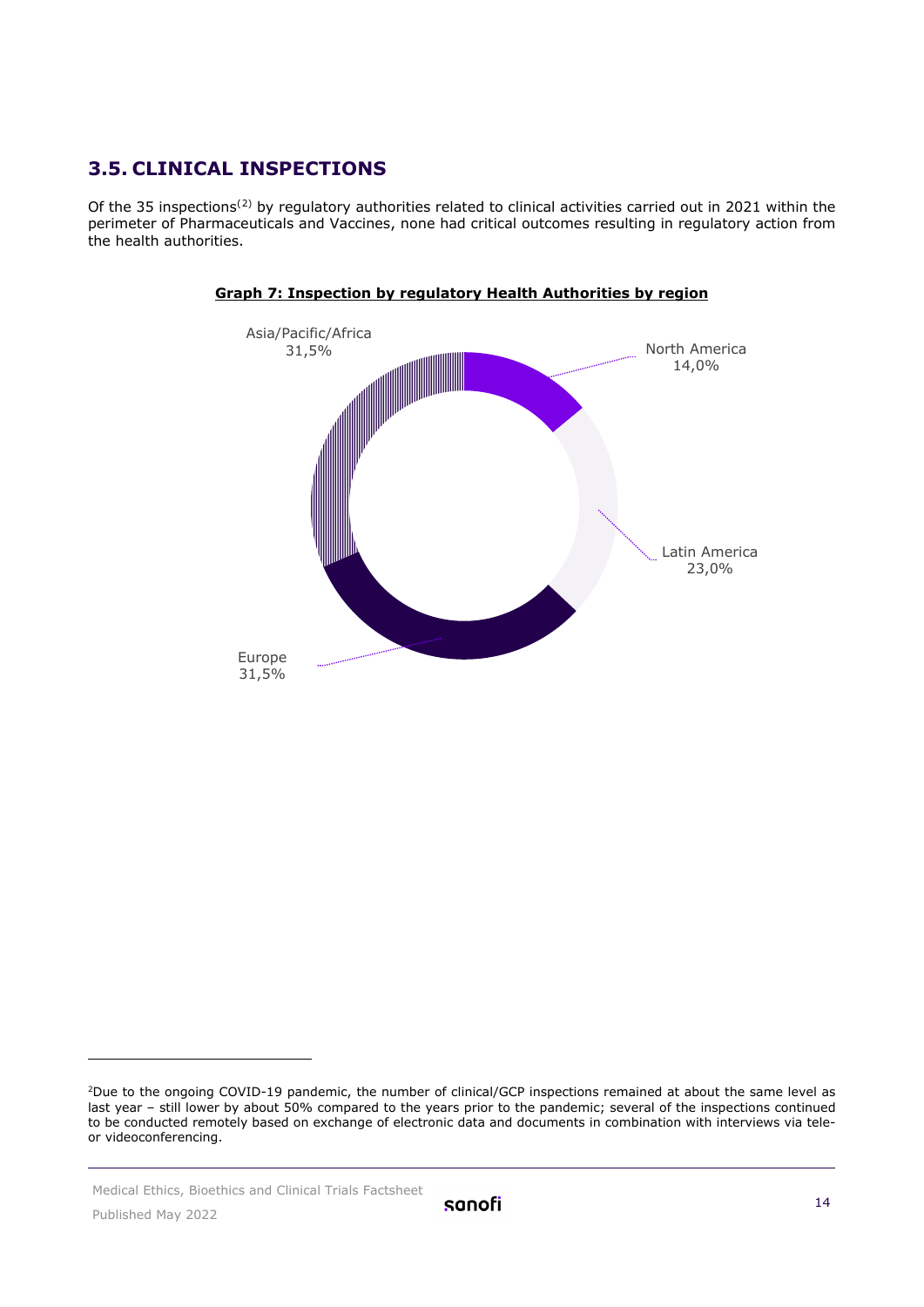#### <span id="page-13-0"></span>**3.5. CLINICAL INSPECTIONS**

Of the 35 inspections([2\)](#page-14-1) by regulatory authorities related to clinical activities carried out in 2021 within the perimeter of Pharmaceuticals and Vaccines, none had critical outcomes resulting in regulatory action from the health authorities.





Medical Ethics, Bioethics and Clinical Trials Factsheet

<sup>&</sup>lt;sup>2</sup>Due to the ongoing COVID-19 pandemic, the number of clinical/GCP inspections remained at about the same level as last year – still lower by about 50% compared to the years prior to the pandemic; several of the inspections continued to be conducted remotely based on exchange of electronic data and documents in combination with interviews via teleor videoconferencing.